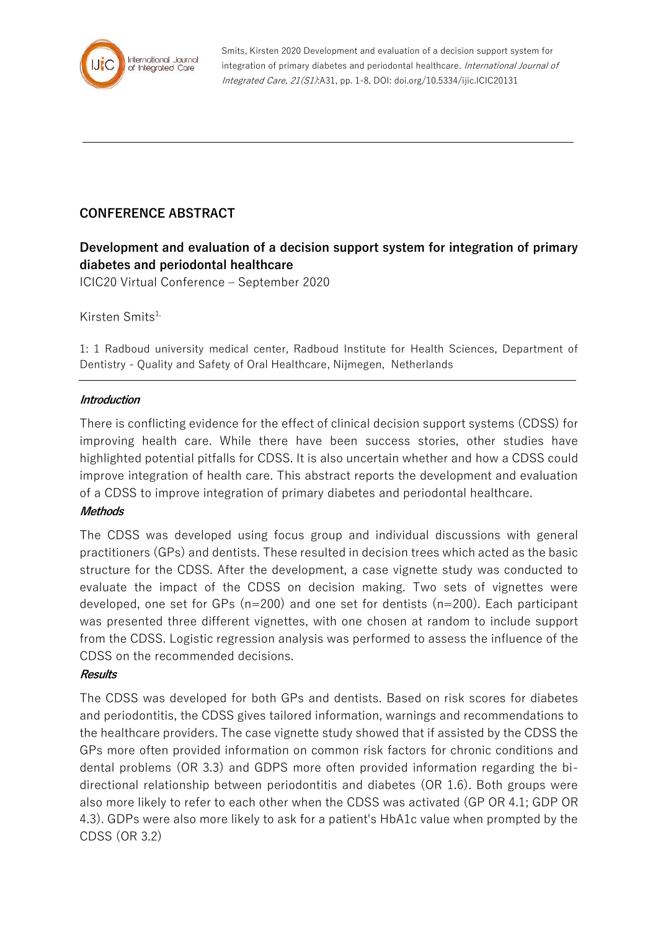

Smits, Kirsten 2020 Development and evaluation of a decision support system for integration of primary diabetes and periodontal healthcare. International Journal of Integrated Care, 21(S1):A31, pp. 1-8, DOI: doi.org/10.5334/ijic.ICIC20131

# **CONFERENCE ABSTRACT**

# **Development and evaluation of a decision support system for integration of primary diabetes and periodontal healthcare**

ICIC20 Virtual Conference – September 2020

Kirsten Smits $1$ ,

1: 1 Radboud university medical center, Radboud Institute for Health Sciences, Department of Dentistry - Quality and Safety of Oral Healthcare, Nijmegen, Netherlands

## **Introduction**

There is conflicting evidence for the effect of clinical decision support systems (CDSS) for improving health care. While there have been success stories, other studies have highlighted potential pitfalls for CDSS. It is also uncertain whether and how a CDSS could improve integration of health care. This abstract reports the development and evaluation of a CDSS to improve integration of primary diabetes and periodontal healthcare.

# **Methods**

The CDSS was developed using focus group and individual discussions with general practitioners (GPs) and dentists. These resulted in decision trees which acted as the basic structure for the CDSS. After the development, a case vignette study was conducted to evaluate the impact of the CDSS on decision making. Two sets of vignettes were developed, one set for GPs (n=200) and one set for dentists (n=200). Each participant was presented three different vignettes, with one chosen at random to include support from the CDSS. Logistic regression analysis was performed to assess the influence of the CDSS on the recommended decisions.

# **Results**

The CDSS was developed for both GPs and dentists. Based on risk scores for diabetes and periodontitis, the CDSS gives tailored information, warnings and recommendations to the healthcare providers. The case vignette study showed that if assisted by the CDSS the GPs more often provided information on common risk factors for chronic conditions and dental problems (OR 3.3) and GDPS more often provided information regarding the bidirectional relationship between periodontitis and diabetes (OR 1.6). Both groups were also more likely to refer to each other when the CDSS was activated (GP OR 4.1; GDP OR 4.3). GDPs were also more likely to ask for a patient's HbA1c value when prompted by the CDSS (OR 3.2)